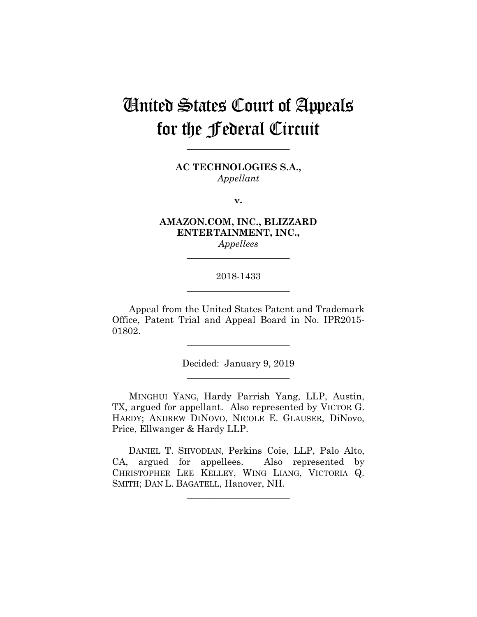# United States Court of Appeals for the Federal Circuit

**AC TECHNOLOGIES S.A.,** *Appellant*

**\_\_\_\_\_\_\_\_\_\_\_\_\_\_\_\_\_\_\_\_\_\_** 

**v.**

**AMAZON.COM, INC., BLIZZARD ENTERTAINMENT, INC.,** *Appellees*

# 2018-1433 **\_\_\_\_\_\_\_\_\_\_\_\_\_\_\_\_\_\_\_\_\_\_**

**\_\_\_\_\_\_\_\_\_\_\_\_\_\_\_\_\_\_\_\_\_\_** 

Appeal from the United States Patent and Trademark Office, Patent Trial and Appeal Board in No. IPR2015- 01802.

> Decided: January 9, 2019 **\_\_\_\_\_\_\_\_\_\_\_\_\_\_\_\_\_\_\_\_\_\_**

**\_\_\_\_\_\_\_\_\_\_\_\_\_\_\_\_\_\_\_\_\_\_** 

MINGHUI YANG, Hardy Parrish Yang, LLP, Austin, TX, argued for appellant. Also represented by VICTOR G. HARDY; ANDREW DINOVO, NICOLE E. GLAUSER, DiNovo, Price, Ellwanger & Hardy LLP.

 DANIEL T. SHVODIAN, Perkins Coie, LLP, Palo Alto, CA, argued for appellees. Also represented by CHRISTOPHER LEE KELLEY, WING LIANG, VICTORIA Q. SMITH; DAN L. BAGATELL, Hanover, NH.

 $\overline{\phantom{a}}$  , we can assume that the contract of  $\overline{\phantom{a}}$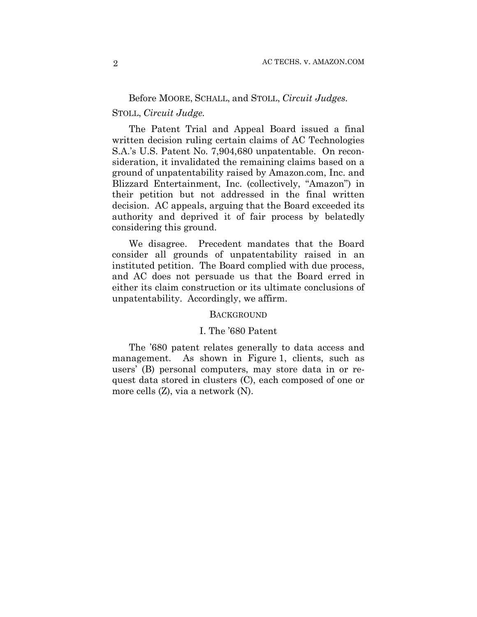# Before MOORE, SCHALL, and STOLL, *Circuit Judges.*

# STOLL, *Circuit Judge.*

The Patent Trial and Appeal Board issued a final written decision ruling certain claims of AC Technologies S.A.'s U.S. Patent No. 7,904,680 unpatentable. On reconsideration, it invalidated the remaining claims based on a ground of unpatentability raised by Amazon.com, Inc. and Blizzard Entertainment, Inc. (collectively, "Amazon") in their petition but not addressed in the final written decision. AC appeals, arguing that the Board exceeded its authority and deprived it of fair process by belatedly considering this ground.

We disagree. Precedent mandates that the Board consider all grounds of unpatentability raised in an instituted petition. The Board complied with due process, and AC does not persuade us that the Board erred in either its claim construction or its ultimate conclusions of unpatentability. Accordingly, we affirm.

#### **BACKGROUND**

#### I. The '680 Patent

The '680 patent relates generally to data access and management. As shown in Figure 1, clients, such as users' (B) personal computers, may store data in or request data stored in clusters (C), each composed of one or more cells (Z), via a network (N).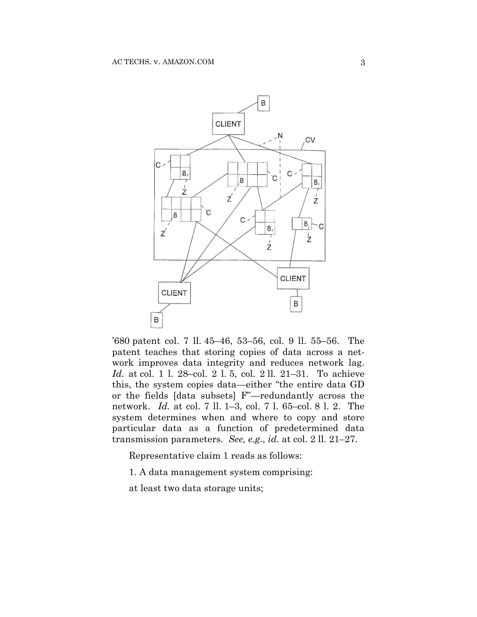

'680 patent col. 7 ll. 45–46, 53–56, col. 9 ll. 55–56. The patent teaches that storing copies of data across a network improves data integrity and reduces network lag. *Id.* at col. 1 l. 28–col. 2 l. 5, col. 2 ll. 21–31. To achieve this, the system copies data—either "the entire data GD or the fields [data subsets] F"—redundantly across the network. *Id.* at col. 7 ll. 1–3, col. 7 l. 65–col. 8 l. 2. The system determines when and where to copy and store particular data as a function of predetermined data transmission parameters. *See, e.g.*, *id.* at col. 2 ll. 21–27.

Representative claim 1 reads as follows:

1. A data management system comprising:

at least two data storage units;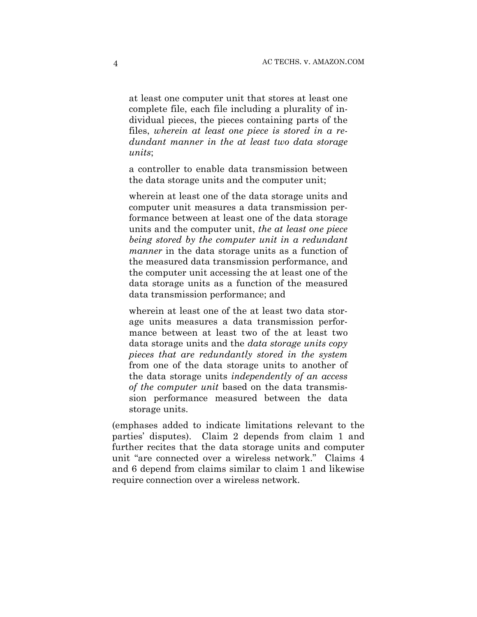at least one computer unit that stores at least one complete file, each file including a plurality of individual pieces, the pieces containing parts of the files, *wherein at least one piece is stored in a redundant manner in the at least two data storage units*;

a controller to enable data transmission between the data storage units and the computer unit;

wherein at least one of the data storage units and computer unit measures a data transmission performance between at least one of the data storage units and the computer unit, *the at least one piece being stored by the computer unit in a redundant manner* in the data storage units as a function of the measured data transmission performance, and the computer unit accessing the at least one of the data storage units as a function of the measured data transmission performance; and

wherein at least one of the at least two data storage units measures a data transmission performance between at least two of the at least two data storage units and the *data storage units copy pieces that are redundantly stored in the system*  from one of the data storage units to another of the data storage units *independently of an access of the computer unit* based on the data transmission performance measured between the data storage units.

(emphases added to indicate limitations relevant to the parties' disputes). Claim 2 depends from claim 1 and further recites that the data storage units and computer unit "are connected over a wireless network." Claims 4 and 6 depend from claims similar to claim 1 and likewise require connection over a wireless network.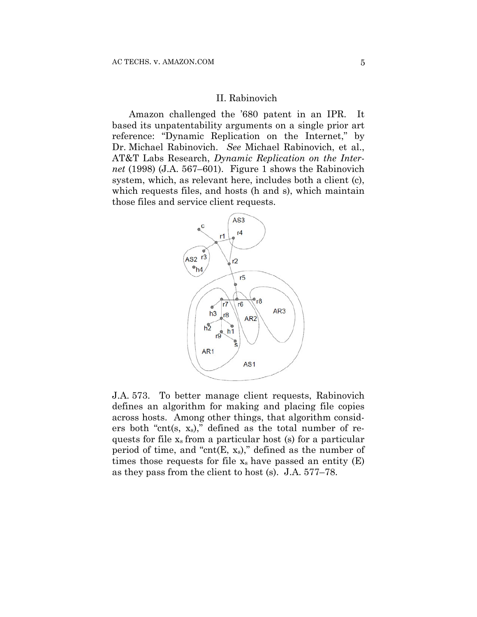### II. Rabinovich

Amazon challenged the '680 patent in an IPR. It based its unpatentability arguments on a single prior art reference: "Dynamic Replication on the Internet," by Dr. Michael Rabinovich. *See* Michael Rabinovich, et al., AT&T Labs Research, *Dynamic Replication on the Internet* (1998) (J.A. 567–601). Figure 1 shows the Rabinovich system, which, as relevant here, includes both a client (c), which requests files, and hosts (h and s), which maintain those files and service client requests.



J.A. 573. To better manage client requests, Rabinovich defines an algorithm for making and placing file copies across hosts. Among other things, that algorithm considers both "cnt(s,  $x_s$ )," defined as the total number of requests for file xs from a particular host (s) for a particular period of time, and "cnt $(E, x_s)$ ," defined as the number of times those requests for file  $x_s$  have passed an entity  $(E)$ as they pass from the client to host (s). J.A. 577–78.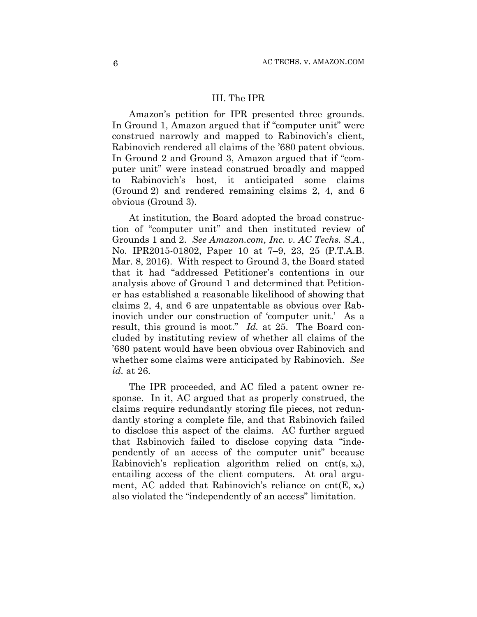# III. The IPR

Amazon's petition for IPR presented three grounds. In Ground 1, Amazon argued that if "computer unit" were construed narrowly and mapped to Rabinovich's client, Rabinovich rendered all claims of the '680 patent obvious. In Ground 2 and Ground 3, Amazon argued that if "computer unit" were instead construed broadly and mapped to Rabinovich's host, it anticipated some claims (Ground 2) and rendered remaining claims 2, 4, and 6 obvious (Ground 3).

At institution, the Board adopted the broad construction of "computer unit" and then instituted review of Grounds 1 and 2. *See Amazon.com, Inc. v. AC Techs. S.A.*, No. IPR2015-01802, Paper 10 at 7–9, 23, 25 (P.T.A.B. Mar. 8, 2016). With respect to Ground 3, the Board stated that it had "addressed Petitioner's contentions in our analysis above of Ground 1 and determined that Petitioner has established a reasonable likelihood of showing that claims 2, 4, and 6 are unpatentable as obvious over Rabinovich under our construction of 'computer unit.' As a result, this ground is moot." *Id.* at 25. The Board concluded by instituting review of whether all claims of the '680 patent would have been obvious over Rabinovich and whether some claims were anticipated by Rabinovich. *See id.* at 26.

The IPR proceeded, and AC filed a patent owner response. In it, AC argued that as properly construed, the claims require redundantly storing file pieces, not redundantly storing a complete file, and that Rabinovich failed to disclose this aspect of the claims. AC further argued that Rabinovich failed to disclose copying data "independently of an access of the computer unit" because Rabinovich's replication algorithm relied on cnt(s,  $x_s$ ), entailing access of the client computers. At oral argument, AC added that Rabinovich's reliance on cnt $(E, x_s)$ also violated the "independently of an access" limitation.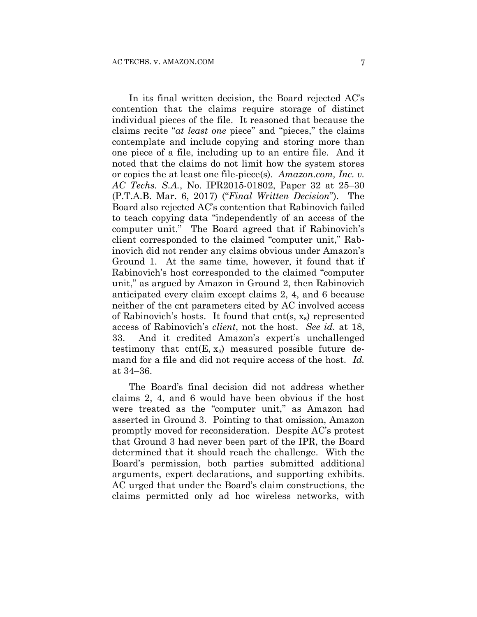In its final written decision, the Board rejected AC's contention that the claims require storage of distinct individual pieces of the file. It reasoned that because the claims recite "*at least one* piece" and "pieces," the claims contemplate and include copying and storing more than one piece of a file, including up to an entire file. And it noted that the claims do not limit how the system stores or copies the at least one file-piece(s). *Amazon.com, Inc. v. AC Techs. S.A.*, No. IPR2015-01802, Paper 32 at 25–30 (P.T.A.B. Mar. 6, 2017) ("*Final Written Decision*"). The Board also rejected AC's contention that Rabinovich failed to teach copying data "independently of an access of the computer unit." The Board agreed that if Rabinovich's client corresponded to the claimed "computer unit," Rabinovich did not render any claims obvious under Amazon's Ground 1. At the same time, however, it found that if Rabinovich's host corresponded to the claimed "computer unit," as argued by Amazon in Ground 2, then Rabinovich anticipated every claim except claims 2, 4, and 6 because neither of the cnt parameters cited by AC involved access of Rabinovich's hosts. It found that  $cnt(s, x_s)$  represented access of Rabinovich's *client*, not the host. *See id.* at 18, 33. And it credited Amazon's expert's unchallenged testimony that  $cnt(E, x_s)$  measured possible future demand for a file and did not require access of the host. *Id.*  at 34–36.

The Board's final decision did not address whether claims 2, 4, and 6 would have been obvious if the host were treated as the "computer unit," as Amazon had asserted in Ground 3. Pointing to that omission, Amazon promptly moved for reconsideration. Despite AC's protest that Ground 3 had never been part of the IPR, the Board determined that it should reach the challenge. With the Board's permission, both parties submitted additional arguments, expert declarations, and supporting exhibits. AC urged that under the Board's claim constructions, the claims permitted only ad hoc wireless networks, with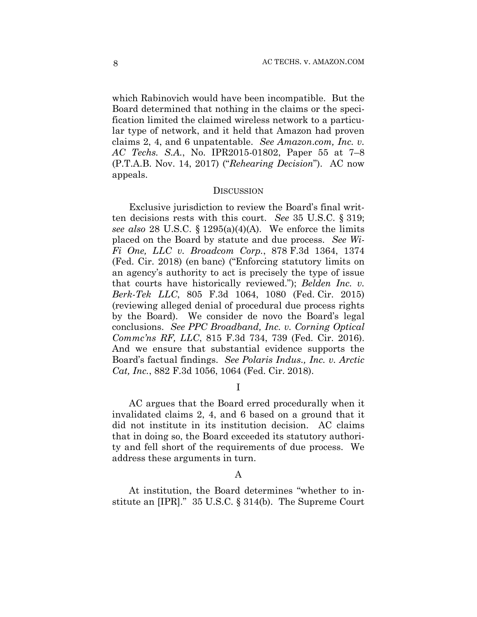which Rabinovich would have been incompatible. But the Board determined that nothing in the claims or the specification limited the claimed wireless network to a particular type of network, and it held that Amazon had proven claims 2, 4, and 6 unpatentable. *See Amazon*.*com, Inc. v. AC Techs. S.A.*, No. IPR2015-01802, Paper 55 at 7–8 (P.T.A.B. Nov. 14, 2017) ("*Rehearing Decision*").AC now appeals.

#### **DISCUSSION**

Exclusive jurisdiction to review the Board's final written decisions rests with this court. *See* 35 U.S.C. § 319; *see also* 28 U.S.C. § 1295(a)(4)(A). We enforce the limits placed on the Board by statute and due process. *See Wi-Fi One, LLC v. Broadcom Corp.*, 878 F.3d 1364, 1374 (Fed. Cir. 2018) (en banc) ("Enforcing statutory limits on an agency's authority to act is precisely the type of issue that courts have historically reviewed."); *Belden Inc. v. Berk-Tek LLC*, 805 F.3d 1064, 1080 (Fed. Cir. 2015) (reviewing alleged denial of procedural due process rights by the Board). We consider de novo the Board's legal conclusions. *See PPC Broadband, Inc. v. Corning Optical Commc'ns RF, LLC*, 815 F.3d 734, 739 (Fed. Cir. 2016). And we ensure that substantial evidence supports the Board's factual findings. *See Polaris Indus., Inc. v. Arctic Cat, Inc.*, 882 F.3d 1056, 1064 (Fed. Cir. 2018).

I

AC argues that the Board erred procedurally when it invalidated claims 2, 4, and 6 based on a ground that it did not institute in its institution decision. AC claims that in doing so, the Board exceeded its statutory authority and fell short of the requirements of due process. We address these arguments in turn.

#### A

At institution, the Board determines "whether to institute an [IPR]." 35 U.S.C. § 314(b). The Supreme Court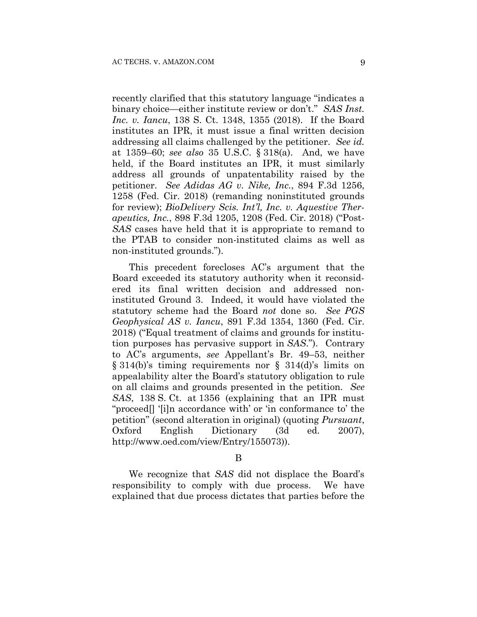recently clarified that this statutory language "indicates a binary choice—either institute review or don't." *SAS Inst. Inc. v. Iancu*, 138 S. Ct. 1348, 1355 (2018). If the Board institutes an IPR, it must issue a final written decision addressing all claims challenged by the petitioner. *See id.*  at 1359–60; *see also* 35 U.S.C. § 318(a). And, we have held, if the Board institutes an IPR, it must similarly address all grounds of unpatentability raised by the petitioner. *See Adidas AG v. Nike, Inc.*, 894 F.3d 1256, 1258 (Fed. Cir. 2018) (remanding noninstituted grounds for review); *BioDelivery Scis. Int'l, Inc. v. Aquestive Therapeutics, Inc.*, 898 F.3d 1205, 1208 (Fed. Cir. 2018) ("Post-*SAS* cases have held that it is appropriate to remand to the PTAB to consider non-instituted claims as well as non-instituted grounds.").

This precedent forecloses AC's argument that the Board exceeded its statutory authority when it reconsidered its final written decision and addressed noninstituted Ground 3. Indeed, it would have violated the statutory scheme had the Board *not* done so. *See PGS Geophysical AS v. Iancu*, 891 F.3d 1354, 1360 (Fed. Cir. 2018) ("Equal treatment of claims and grounds for institution purposes has pervasive support in *SAS*."). Contrary to AC's arguments, *see* Appellant's Br. 49–53, neither § 314(b)'s timing requirements nor § 314(d)'s limits on appealability alter the Board's statutory obligation to rule on all claims and grounds presented in the petition. *See SAS*, 138 S. Ct. at 1356 (explaining that an IPR must "proceed[] '[i]n accordance with' or 'in conformance to' the petition" (second alteration in original) (quoting *Pursuant*, Oxford English Dictionary (3d ed. 2007), http://www.oed.com/view/Entry/155073)).

B

We recognize that *SAS* did not displace the Board's responsibility to comply with due process. We have explained that due process dictates that parties before the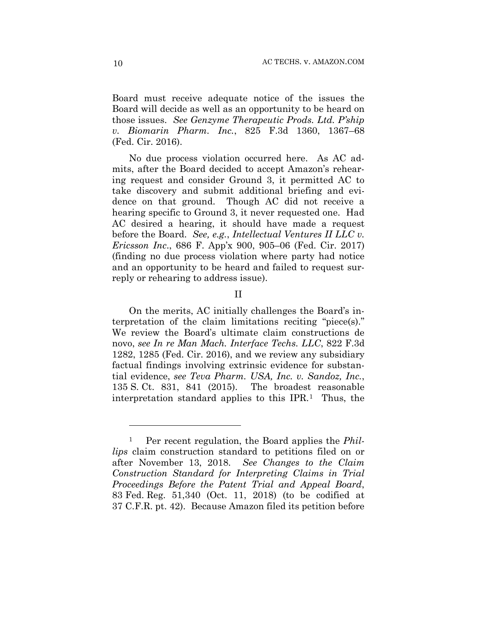Board must receive adequate notice of the issues the Board will decide as well as an opportunity to be heard on those issues. *See Genzyme Therapeutic Prods. Ltd. P'ship v. Biomarin Pharm. Inc.*, 825 F.3d 1360, 1367–68 (Fed. Cir. 2016).

No due process violation occurred here. As AC admits, after the Board decided to accept Amazon's rehearing request and consider Ground 3, it permitted AC to take discovery and submit additional briefing and evidence on that ground. Though AC did not receive a hearing specific to Ground 3, it never requested one. Had AC desired a hearing, it should have made a request before the Board. *See, e.g.*, *Intellectual Ventures II LLC v. Ericsson Inc*., 686 F. App'x 900, 905–06 (Fed. Cir. 2017) (finding no due process violation where party had notice and an opportunity to be heard and failed to request surreply or rehearing to address issue).

#### II

On the merits, AC initially challenges the Board's interpretation of the claim limitations reciting "piece(s)." We review the Board's ultimate claim constructions de novo, *see In re Man Mach. Interface Techs. LLC*, 822 F.3d 1282, 1285 (Fed. Cir. 2016), and we review any subsidiary factual findings involving extrinsic evidence for substantial evidence, *see Teva Pharm. USA, Inc. v. Sandoz, Inc.*, 135 S. Ct. 831, 841 (2015). The broadest reasonable interpretation standard applies to this IPR.<sup>1</sup> Thus, the

<u>.</u>

Per recent regulation, the Board applies the *Phillips* claim construction standard to petitions filed on or after November 13, 2018. *See Changes to the Claim Construction Standard for Interpreting Claims in Trial Proceedings Before the Patent Trial and Appeal Board*, 83 Fed. Reg. 51,340 (Oct. 11, 2018) (to be codified at 37 C.F.R. pt. 42). Because Amazon filed its petition before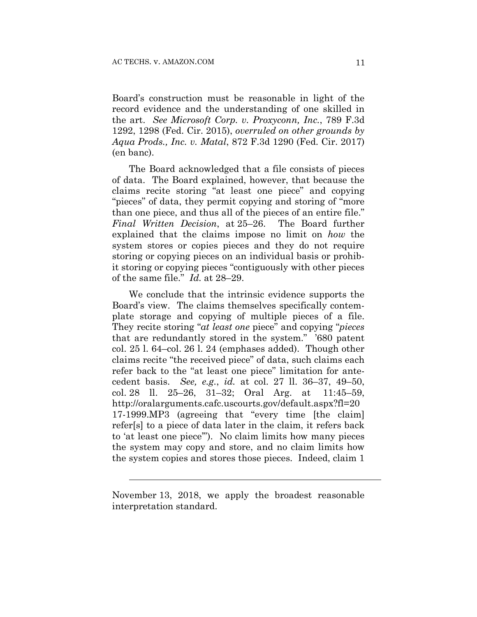Board's construction must be reasonable in light of the record evidence and the understanding of one skilled in the art. *See Microsoft Corp. v. Proxyconn, Inc.*, 789 F.3d 1292, 1298 (Fed. Cir. 2015), *overruled on other grounds by Aqua Prods., Inc. v. Matal*, 872 F.3d 1290 (Fed. Cir. 2017) (en banc).

The Board acknowledged that a file consists of pieces of data. The Board explained, however, that because the claims recite storing "at least one piece" and copying "pieces" of data, they permit copying and storing of "more than one piece, and thus all of the pieces of an entire file." *Final Written Decision*, at 25–26. The Board further explained that the claims impose no limit on *how* the system stores or copies pieces and they do not require storing or copying pieces on an individual basis or prohibit storing or copying pieces "contiguously with other pieces of the same file." *Id.* at 28–29.

We conclude that the intrinsic evidence supports the Board's view. The claims themselves specifically contemplate storage and copying of multiple pieces of a file. They recite storing "*at least one* piece" and copying "*pieces*  that are redundantly stored in the system." '680 patent col. 25 l. 64–col. 26 l. 24 (emphases added). Though other claims recite "the received piece" of data, such claims each refer back to the "at least one piece" limitation for antecedent basis. *See, e.g.*, *id.* at col. 27 ll. 36–37, 49–50, col. 28 ll. 25–26, 31–32; Oral Arg. at 11:45–59, http://oralarguments.cafc.uscourts.gov/default.aspx?fl=20 17-1999.MP3 (agreeing that "every time [the claim] refer[s] to a piece of data later in the claim, it refers back to 'at least one piece'"). No claim limits how many pieces the system may copy and store, and no claim limits how the system copies and stores those pieces. Indeed, claim 1

l

November 13, 2018, we apply the broadest reasonable interpretation standard.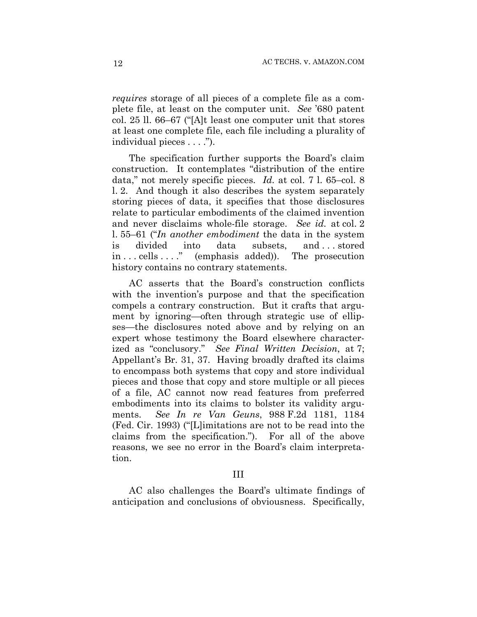*requires* storage of all pieces of a complete file as a complete file, at least on the computer unit. *See* '680 patent col. 25 ll. 66–67 ("[A]t least one computer unit that stores at least one complete file, each file including a plurality of individual pieces . . . .").

The specification further supports the Board's claim construction. It contemplates "distribution of the entire data," not merely specific pieces. *Id.* at col. 7 l. 65–col. 8 l. 2. And though it also describes the system separately storing pieces of data, it specifies that those disclosures relate to particular embodiments of the claimed invention and never disclaims whole-file storage. *See id.* at col. 2 l. 55–61 ("*In another embodiment* the data in the system is divided into data subsets, and . . . stored in . . . cells . . . ." (emphasis added)). The prosecution history contains no contrary statements.

AC asserts that the Board's construction conflicts with the invention's purpose and that the specification compels a contrary construction. But it crafts that argument by ignoring—often through strategic use of ellipses—the disclosures noted above and by relying on an expert whose testimony the Board elsewhere characterized as "conclusory." *See Final Written Decision*, at 7; Appellant's Br. 31, 37. Having broadly drafted its claims to encompass both systems that copy and store individual pieces and those that copy and store multiple or all pieces of a file, AC cannot now read features from preferred embodiments into its claims to bolster its validity arguments. *See In re Van Geuns*, 988 F.2d 1181, 1184 (Fed. Cir. 1993) ("[L]imitations are not to be read into the claims from the specification.").For all of the above reasons, we see no error in the Board's claim interpretation.

#### III

AC also challenges the Board's ultimate findings of anticipation and conclusions of obviousness. Specifically,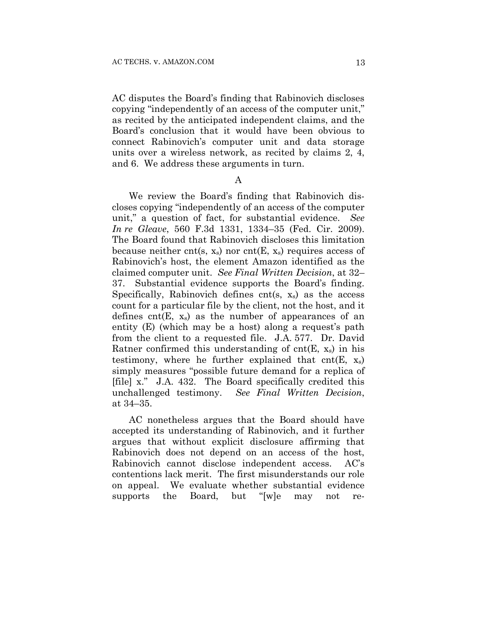AC disputes the Board's finding that Rabinovich discloses copying "independently of an access of the computer unit," as recited by the anticipated independent claims, and the Board's conclusion that it would have been obvious to connect Rabinovich's computer unit and data storage units over a wireless network, as recited by claims 2, 4, and 6. We address these arguments in turn.

A

We review the Board's finding that Rabinovich discloses copying "independently of an access of the computer unit," a question of fact, for substantial evidence. *See In re Gleave*, 560 F.3d 1331, 1334–35 (Fed. Cir. 2009). The Board found that Rabinovich discloses this limitation because neither cnt(s,  $x_s$ ) nor cnt(E,  $x_s$ ) requires access of Rabinovich's host, the element Amazon identified as the claimed computer unit. *See Final Written Decision*, at 32– 37. Substantial evidence supports the Board's finding. Specifically, Rabinovich defines  $cnt(s, x_s)$  as the access count for a particular file by the client, not the host, and it defines  $cnt(E, x_s)$  as the number of appearances of an entity (E) (which may be a host) along a request's path from the client to a requested file. J.A. 577. Dr. David Ratner confirmed this understanding of cnt $(E, x_s)$  in his testimony, where he further explained that  $cnt(E, x_s)$ simply measures "possible future demand for a replica of [file] x." J.A. 432. The Board specifically credited this unchallenged testimony. *See Final Written Decision*, at 34–35.

AC nonetheless argues that the Board should have accepted its understanding of Rabinovich, and it further argues that without explicit disclosure affirming that Rabinovich does not depend on an access of the host, Rabinovich cannot disclose independent access. AC's contentions lack merit. The first misunderstands our role on appeal. We evaluate whether substantial evidence supports the Board, but "[w]e may not re-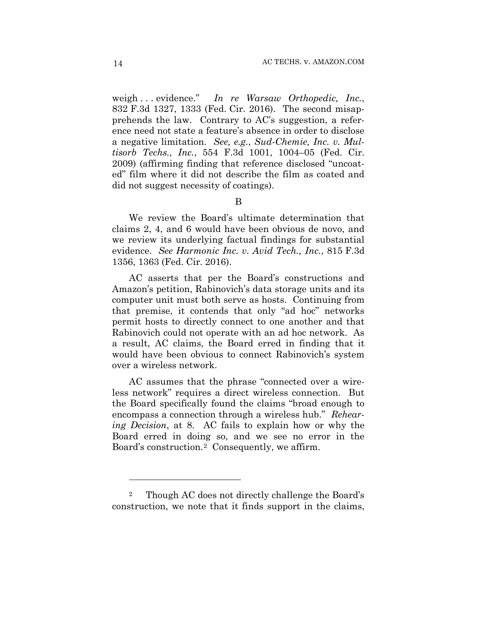weigh . . . evidence." *In re Warsaw Orthopedic, Inc.*, 832 F.3d 1327, 1333 (Fed. Cir. 2016). The second misapprehends the law. Contrary to AC's suggestion, a reference need not state a feature's absence in order to disclose a negative limitation. *See, e.g.*, *Sud-Chemie, Inc. v. Multisorb Techs., Inc.*, 554 F.3d 1001, 1004–05 (Fed. Cir. 2009) (affirming finding that reference disclosed "uncoated" film where it did not describe the film as coated and did not suggest necessity of coatings).

# B

We review the Board's ultimate determination that claims 2, 4, and 6 would have been obvious de novo, and we review its underlying factual findings for substantial evidence. *See Harmonic Inc. v. Avid Tech., Inc.*, 815 F.3d 1356, 1363 (Fed. Cir. 2016).

AC asserts that per the Board's constructions and Amazon's petition, Rabinovich's data storage units and its computer unit must both serve as hosts. Continuing from that premise, it contends that only "ad hoc" networks permit hosts to directly connect to one another and that Rabinovich could not operate with an ad hoc network. As a result, AC claims, the Board erred in finding that it would have been obvious to connect Rabinovich's system over a wireless network.

AC assumes that the phrase "connected over a wireless network" requires a direct wireless connection. But the Board specifically found the claims "broad enough to encompass a connection through a wireless hub." *Rehearing Decision*, at 8. AC fails to explain how or why the Board erred in doing so, and we see no error in the Board's construction.2 Consequently, we affirm.

1

<sup>2</sup> Though AC does not directly challenge the Board's construction, we note that it finds support in the claims,